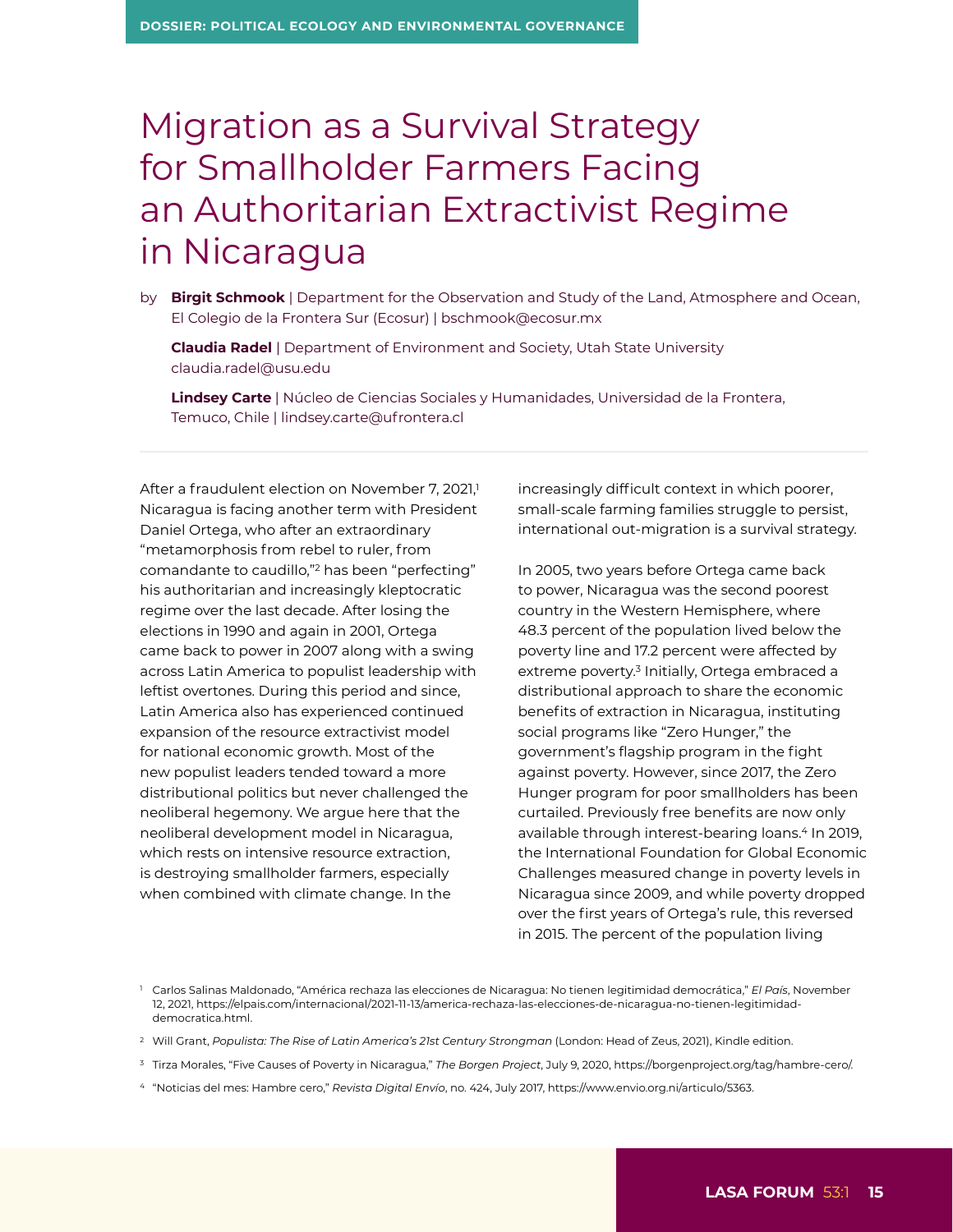## Migration as a Survival Strategy for Smallholder Farmers Facing an Authoritarian Extractivist Regime in Nicaragua

by **Birgit Schmook** | Department for the Observation and Study of the Land, Atmosphere and Ocean, El Colegio de la Frontera Sur (Ecosur) | [bschmook@ecosur.mx](mailto:bschmook@ecosur.mx)

 **Claudia Radel** | Department of Environment and Society, Utah State University [claudia.radel@usu.edu](mailto:claudia.radel@usu.edu)

 **Lindsey Carte** | Núcleo de Ciencias Sociales y Humanidades, Universidad de la Frontera, Temuco, Chile | [lindsey.carte@ufrontera.cl](mailto:lindsey.carte@ufrontera.cl)

After a fraudulent election on November 7, 2021,<sup>1</sup> Nicaragua is facing another term with President Daniel Ortega, who after an extraordinary "metamorphosis from rebel to ruler, from comandante to caudillo,"2 has been "perfecting" his authoritarian and increasingly kleptocratic regime over the last decade. After losing the elections in 1990 and again in 2001, Ortega came back to power in 2007 along with a swing across Latin America to populist leadership with leftist overtones. During this period and since, Latin America also has experienced continued expansion of the resource extractivist model for national economic growth. Most of the new populist leaders tended toward a more distributional politics but never challenged the neoliberal hegemony. We argue here that the neoliberal development model in Nicaragua, which rests on intensive resource extraction, is destroying smallholder farmers, especially when combined with climate change. In the

increasingly difficult context in which poorer, small-scale farming families struggle to persist, international out-migration is a survival strategy.

In 2005, two years before Ortega came back to power, Nicaragua was the second poorest country in the Western Hemisphere, where 48.3 percent of the population lived below the poverty line and 17.2 percent were affected by extreme poverty.3 Initially, Ortega embraced a distributional approach to share the economic benefits of extraction in Nicaragua, instituting social programs like "Zero Hunger," the government's flagship program in the fight against poverty. However, since 2017, the Zero Hunger program for poor smallholders has been curtailed. Previously free benefits are now only available through interest-bearing loans.<sup>4</sup> In 2019, the International Foundation for Global Economic Challenges measured change in poverty levels in Nicaragua since 2009, and while poverty dropped over the first years of Ortega's rule, this reversed in 2015. The percent of the population living

- <sup>2</sup> Will Grant, *Populista: The Rise of Latin America's 21st Century Strongman* (London: Head of Zeus, 2021), Kindle edition.
- <sup>3</sup> Tirza Morales, "Five Causes of Poverty in Nicaragua," *The Borgen Project*, July 9, 2020, <https://borgenproject.org/tag/hambre-cero/>.
- <sup>4</sup> "Noticias del mes: Hambre cero," *Revista Digital Envío*, no. 424, July 2017,<https://www.envio.org.ni/articulo/5363>.

<sup>1</sup> Carlos Salinas Maldonado, "América rechaza las elecciones de Nicaragua: No tienen legitimidad democrática," *El País*, November 12, 2021, [https://elpais.com/internacional/2021-11-13/america-rechaza-las-elecciones-de-nicaragua-no-tienen-legitimidad](https://elpais.com/internacional/2021-11-13/america-rechaza-las-elecciones-de-nicaragua-no-tienen-legitimidad-democratica.html)[democratica.html](https://elpais.com/internacional/2021-11-13/america-rechaza-las-elecciones-de-nicaragua-no-tienen-legitimidad-democratica.html).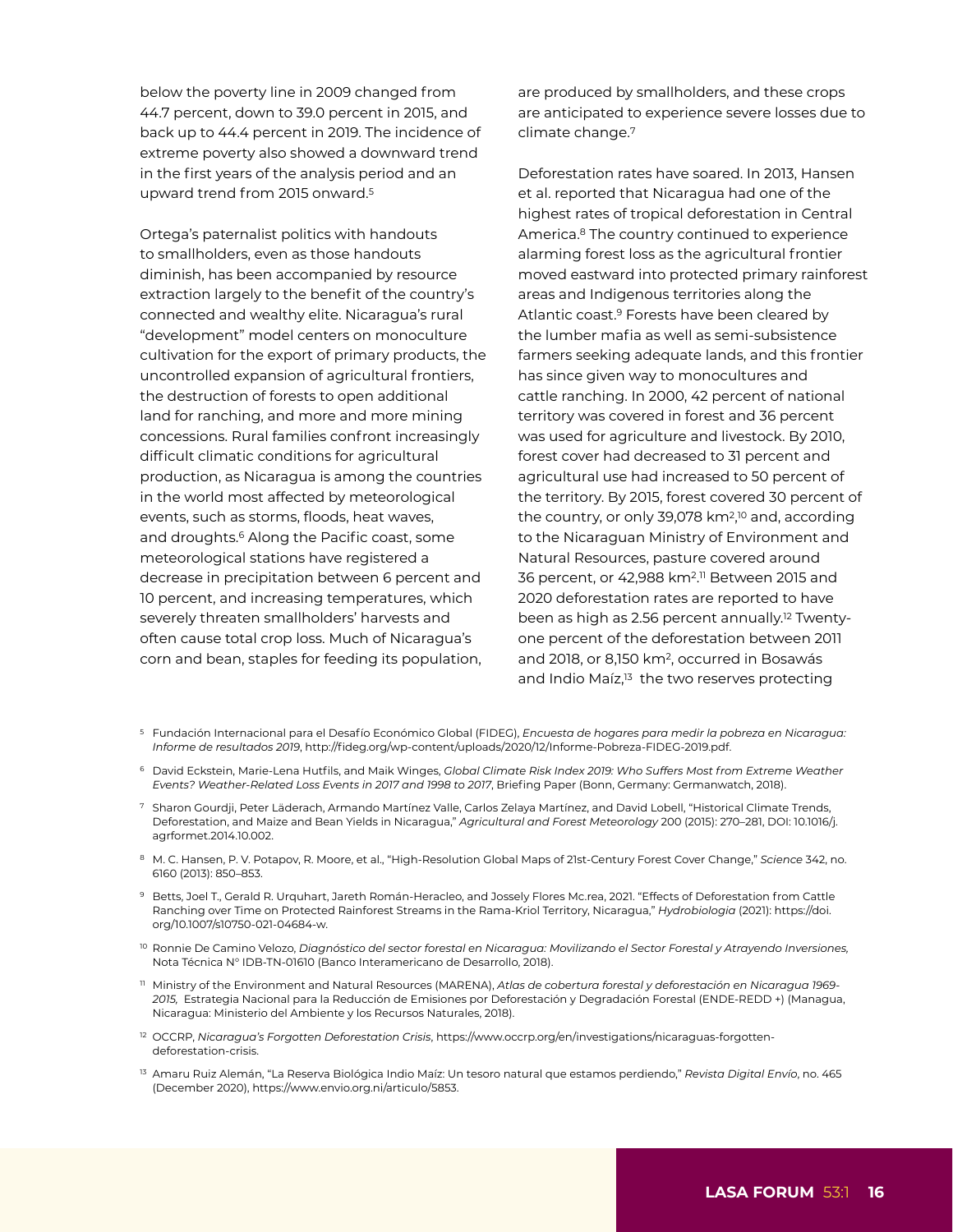below the poverty line in 2009 changed from 44.7 percent, down to 39.0 percent in 2015, and back up to 44.4 percent in 2019. The incidence of extreme poverty also showed a downward trend in the first years of the analysis period and an upward trend from 2015 onward.5

Ortega's paternalist politics with handouts to smallholders, even as those handouts diminish, has been accompanied by resource extraction largely to the benefit of the country's connected and wealthy elite. Nicaragua's rural "development" model centers on monoculture cultivation for the export of primary products, the uncontrolled expansion of agricultural frontiers, the destruction of forests to open additional land for ranching, and more and more mining concessions. Rural families confront increasingly difficult climatic conditions for agricultural production, as Nicaragua is among the countries in the world most affected by meteorological events, such as storms, floods, heat waves, and droughts.<sup>6</sup> Along the Pacific coast, some meteorological stations have registered a decrease in precipitation between 6 percent and 10 percent, and increasing temperatures, which severely threaten smallholders' harvests and often cause total crop loss. Much of Nicaragua's corn and bean, staples for feeding its population,

are produced by smallholders, and these crops are anticipated to experience severe losses due to climate change.7

Deforestation rates have soared. In 2013, Hansen et al. reported that Nicaragua had one of the highest rates of tropical deforestation in Central America.8 The country continued to experience alarming forest loss as the agricultural frontier moved eastward into protected primary rainforest areas and Indigenous territories along the Atlantic coast.9 Forests have been cleared by the lumber mafia as well as semi-subsistence farmers seeking adequate lands, and this frontier has since given way to monocultures and cattle ranching. In 2000, 42 percent of national territory was covered in forest and 36 percent was used for agriculture and livestock. By 2010, forest cover had decreased to 31 percent and agricultural use had increased to 50 percent of the territory. By 2015, forest covered 30 percent of the country, or only 39,078 km2, 10 and, according to the Nicaraguan Ministry of Environment and Natural Resources, pasture covered around 36 percent, or 42,988 km2. 11 Between 2015 and 2020 deforestation rates are reported to have been as high as 2.56 percent annually.<sup>12</sup> Twentyone percent of the deforestation between 2011 and 2018, or 8,150 km2, occurred in Bosawás and Indio Maíz,<sup>13</sup> the two reserves protecting

- <sup>5</sup> Fundación Internacional para el Desafío Económico Global (FIDEG), *Encuesta de hogares para medir la pobreza en Nicaragua: Informe de resultados 2019*, <http://fideg.org/wp-content/uploads/2020/12/Informe-Pobreza-FIDEG-2019.pdf>.
- <sup>6</sup> David Eckstein, Marie-Lena Hutfils, and Maik Winges, *Global Climate Risk Index 2019: Who Suffers Most from Extreme Weather Events? Weather-Related Loss Events in 2017 and 1998 to 2017*, Briefing Paper (Bonn, Germany: Germanwatch, 2018).
- <sup>7</sup> Sharon Gourdji, Peter Läderach, Armando Martínez Valle, Carlos Zelaya Martínez, and David Lobell, "Historical Climate Trends, Deforestation, and Maize and Bean Yields in Nicaragua," *Agricultural and Forest Meteorology* 200 (2015): 270–281, DOI: 10.1016/j. agrformet.2014.10.002.
- <sup>8</sup> M. C. Hansen, P. V. Potapov, R. Moore, et al., "High-Resolution Global Maps of 21st-Century Forest Cover Change," *Science* 342, no. 6160 (2013): 850–853.
- <sup>9</sup> Betts, Joel T., Gerald R. Urquhart, Jareth Román-Heracleo, and Jossely Flores Mc.rea, 2021. "Effects of Deforestation from Cattle Ranching over Time on Protected Rainforest Streams in the Rama-Kriol Territory, Nicaragua," *Hydrobiologia* (2021): [https://doi.](https://doi.org/10.1007/s10750-021-04684-w) [org/10.1007/s10750-021-04684-w](https://doi.org/10.1007/s10750-021-04684-w).
- <sup>10</sup> Ronnie De Camino Velozo, *Diagnóstico del sector forestal en Nicaragua: Movilizando el Sector Forestal y Atrayendo Inversiones,* Nota Técnica N° IDB-TN-01610 (Banco Interamericano de Desarrollo, 2018).
- <sup>11</sup> Ministry of the Environment and Natural Resources (MARENA), *Atlas de cobertura forestal y deforestación en Nicaragua 1969- 2015,* Estrategia Nacional para la Reducción de Emisiones por Deforestación y Degradación Forestal (ENDE-REDD +) (Managua, Nicaragua: Ministerio del Ambiente y los Recursos Naturales, 2018).
- <sup>12</sup> OCCRP, *Nicaragua's Forgotten Deforestation Crisis*, [https://www.occrp.org/en/investigations/nicaraguas-forgotten](https://www.occrp.org/en/investigations/nicaraguas-forgotten-deforestation-crisis)[deforestati](https://www.occrp.org/en/investigations/nicaraguas-forgotten-deforestation-crisis)on-crisis.
- <sup>13</sup> Amaru Ruiz Alemán, "La Reserva Biológica Indio Maíz: Un tesoro natural que estamos perdiendo," *Revista Digital Envío*, no. 465 (December 2020),<https://www.envio.org.ni/articulo/5853>.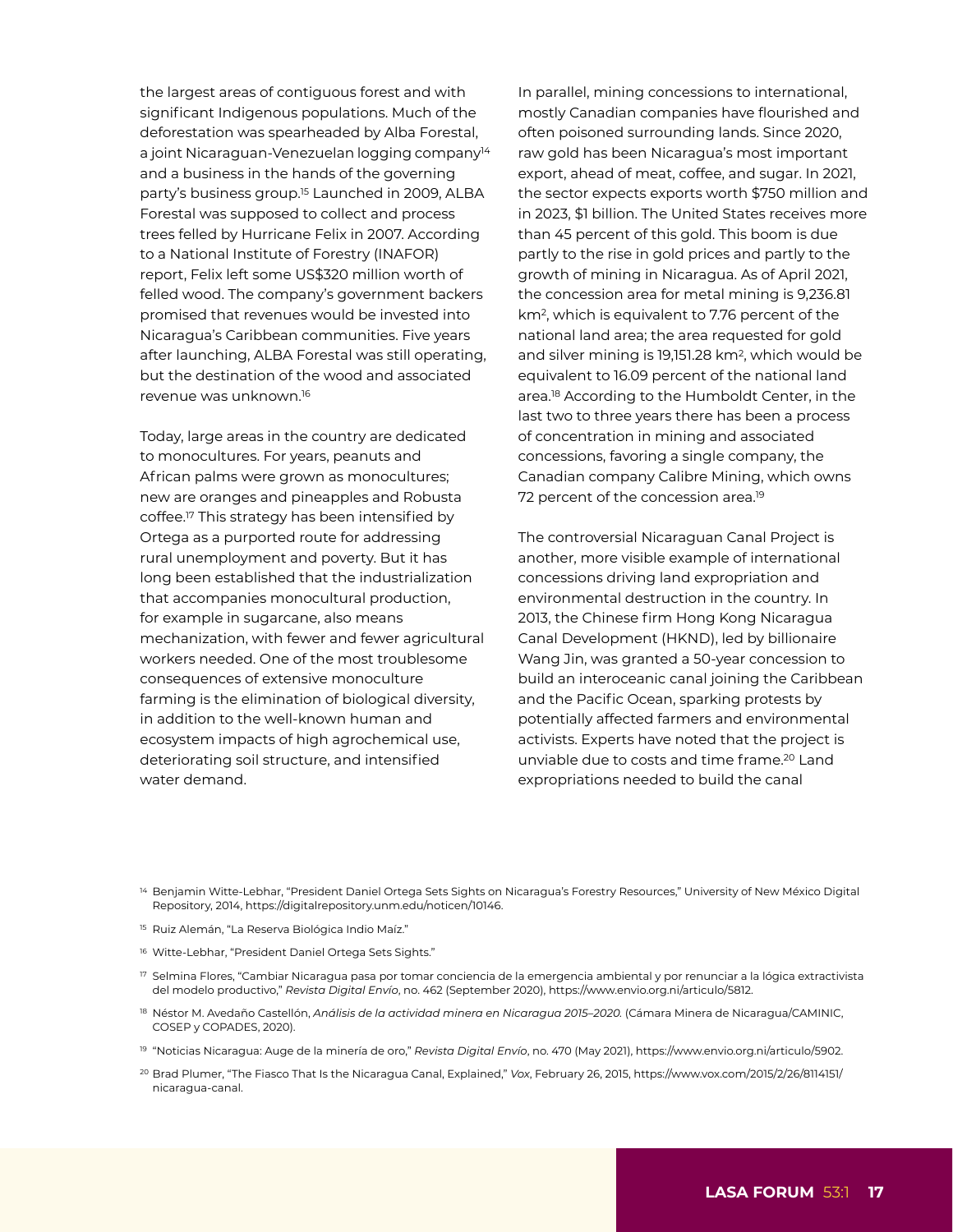the largest areas of contiguous forest and with significant Indigenous populations. Much of the deforestation was spearheaded by Alba Forestal, a joint Nicaraguan-Venezuelan logging company<sup>14</sup> and a business in the hands of the governing party's business group.15 Launched in 2009, ALBA Forestal was supposed to collect and process trees felled by Hurricane Felix in 2007. According to a National Institute of Forestry (INAFOR) report, Felix left some US\$320 million worth of felled wood. The company's government backers promised that revenues would be invested into Nicaragua's Caribbean communities. Five years after launching, ALBA Forestal was still operating, but the destination of the wood and associated revenue was unknown.16

Today, large areas in the country are dedicated to monocultures. For years, peanuts and African palms were grown as monocultures; new are oranges and pineapples and Robusta coffee.17 This strategy has been intensified by Ortega as a purported route for addressing rural unemployment and poverty. But it has long been established that the industrialization that accompanies monocultural production, for example in sugarcane, also means mechanization, with fewer and fewer agricultural workers needed. One of the most troublesome consequences of extensive monoculture farming is the elimination of biological diversity, in addition to the well-known human and ecosystem impacts of high agrochemical use, deteriorating soil structure, and intensified water demand.

In parallel, mining concessions to international, mostly Canadian companies have flourished and often poisoned surrounding lands. Since 2020, raw gold has been Nicaragua's most important export, ahead of meat, coffee, and sugar. In 2021, the sector expects exports worth \$750 million and in 2023, \$1 billion. The United States receives more than 45 percent of this gold. This boom is due partly to the rise in gold prices and partly to the growth of mining in Nicaragua. As of April 2021, the concession area for metal mining is 9,236.81 km2, which is equivalent to 7.76 percent of the national land area; the area requested for gold and silver mining is 19,151.28 km2, which would be equivalent to 16.09 percent of the national land area.18 According to the Humboldt Center, in the last two to three years there has been a process of concentration in mining and associated concessions, favoring a single company, the Canadian company Calibre Mining, which owns 72 percent of the concession area.<sup>19</sup>

The controversial Nicaraguan Canal Project is another, more visible example of international concessions driving land expropriation and environmental destruction in the country. In 2013, the Chinese firm Hong Kong Nicaragua Canal Development (HKND), led by billionaire Wang Jin, was granted a 50-year concession to build an interoceanic canal joining the Caribbean and the Pacific Ocean, sparking protests by potentially affected farmers and environmental activists. Experts have noted that the project is unviable due to costs and time frame.20 Land expropriations needed to build the canal

- <sup>14</sup> Benjamin Witte-Lebhar, "President Daniel Ortega Sets Sights on Nicaragua's Forestry Resources," University of New México Digital Repository, 2014, <https://digitalrepository.unm.edu/noticen/10146>.
- <sup>15</sup> Ruiz Alemán, "La Reserva Biológica Indio Maíz."
- <sup>16</sup> Witte-Lebhar, "President Daniel Ortega Sets Sights."
- <sup>17</sup> Selmina Flores, "Cambiar Nicaragua pasa por tomar conciencia de la emergencia ambiental y por renunciar a la lógica extractivista del modelo productivo," *Revista Digital Envío*, no. 462 (September 2020), <https://www.envio.org.ni/articulo/5812>.
- <sup>18</sup> Néstor M. Avedaño Castellón, *Análisis de la actividad minera en Nicaragua 2015–2020.* (Cámara Minera de Nicaragua/CAMINIC, COSEP y COPADES, 2020).
- <sup>19</sup> "Noticias Nicaragua: Auge de la minería de oro," *Revista Digital Envío*, no. 470 (May 2021), <https://www.envio.org.ni/articulo/5902>.
- <sup>20</sup> Brad Plumer, "The Fiasco That Is the Nicaragua Canal, Explained," *Vox*, February 26, 2015, [https://www.vox.com/2015/2/26/8114151/](https://www.vox.com/2015/2/26/8114151/nicaragua-canal) [nicaragua-canal](https://www.vox.com/2015/2/26/8114151/nicaragua-canal).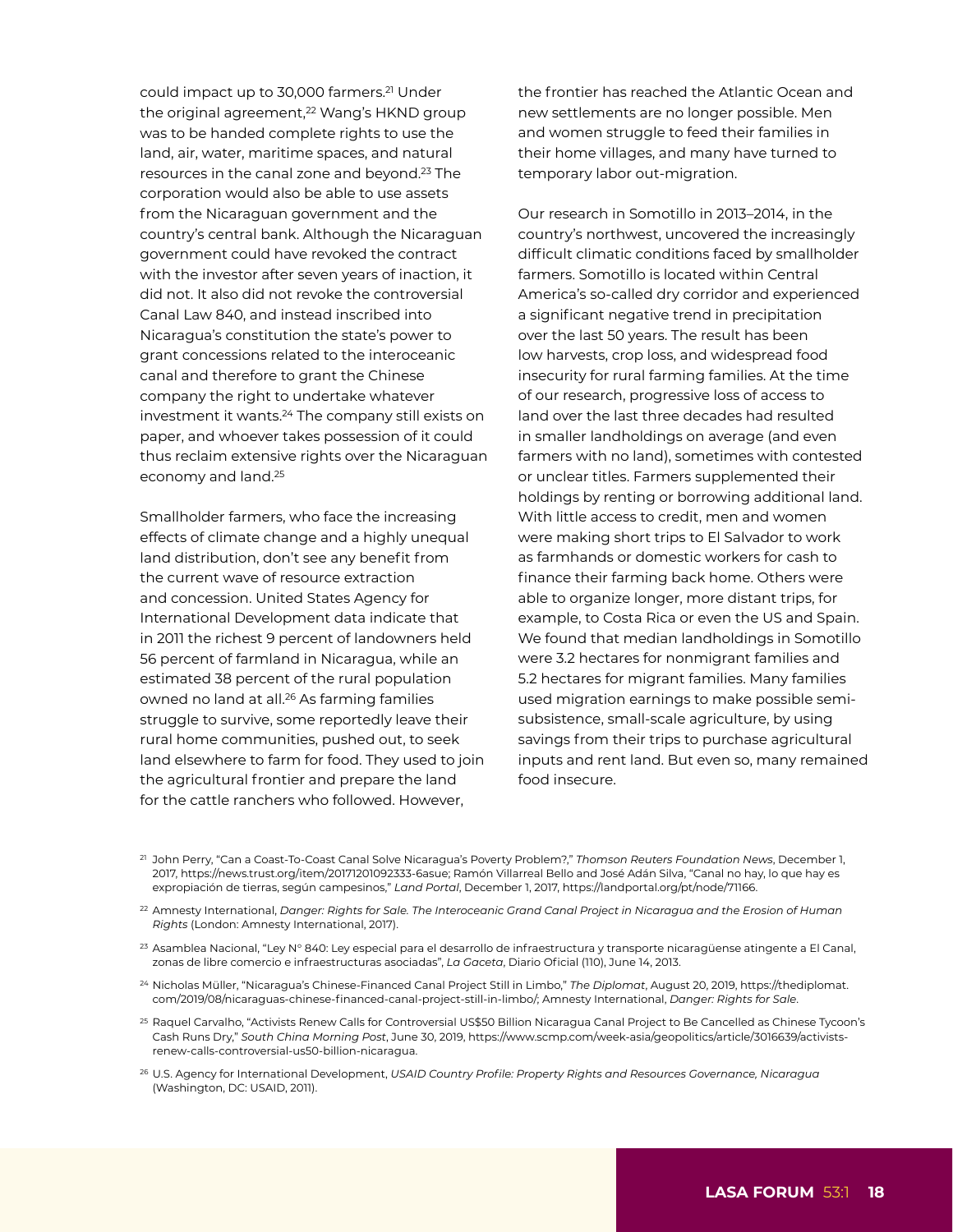could impact up to 30,000 farmers.21 Under the original agreement,<sup>22</sup> Wang's HKND group was to be handed complete rights to use the land, air, water, maritime spaces, and natural resources in the canal zone and beyond.23 The corporation would also be able to use assets from the Nicaraguan government and the country's central bank. Although the Nicaraguan government could have revoked the contract with the investor after seven years of inaction, it did not. It also did not revoke the controversial Canal Law 840, and instead inscribed into Nicaragua's constitution the state's power to grant concessions related to the interoceanic canal and therefore to grant the Chinese company the right to undertake whatever investment it wants.24 The company still exists on paper, and whoever takes possession of it could thus reclaim extensive rights over the Nicaraguan economy and land.25

Smallholder farmers, who face the increasing effects of climate change and a highly unequal land distribution, don't see any benefit from the current wave of resource extraction and concession. United States Agency for International Development data indicate that in 2011 the richest 9 percent of landowners held 56 percent of farmland in Nicaragua, while an estimated 38 percent of the rural population owned no land at all.26 As farming families struggle to survive, some reportedly leave their rural home communities, pushed out, to seek land elsewhere to farm for food. They used to join the agricultural frontier and prepare the land for the cattle ranchers who followed. However,

the frontier has reached the Atlantic Ocean and new settlements are no longer possible. Men and women struggle to feed their families in their home villages, and many have turned to temporary labor out-migration.

Our research in Somotillo in 2013–2014, in the country's northwest, uncovered the increasingly difficult climatic conditions faced by smallholder farmers. Somotillo is located within Central America's so-called dry corridor and experienced a significant negative trend in precipitation over the last 50 years. The result has been low harvests, crop loss, and widespread food insecurity for rural farming families. At the time of our research, progressive loss of access to land over the last three decades had resulted in smaller landholdings on average (and even farmers with no land), sometimes with contested or unclear titles. Farmers supplemented their holdings by renting or borrowing additional land. With little access to credit, men and women were making short trips to El Salvador to work as farmhands or domestic workers for cash to finance their farming back home. Others were able to organize longer, more distant trips, for example, to Costa Rica or even the US and Spain. We found that median landholdings in Somotillo were 3.2 hectares for nonmigrant families and 5.2 hectares for migrant families. Many families used migration earnings to make possible semisubsistence, small-scale agriculture, by using savings from their trips to purchase agricultural inputs and rent land. But even so, many remained food insecure.

- <sup>21</sup> John Perry, "Can a Coast-To-Coast Canal Solve Nicaragua's Poverty Problem?," *Thomson Reuters Foundation News*, December 1, 2017,<https://news.trust.org/item/20171201092333-6asue>; Ramón Villarreal Bello and José Adán Silva, "Canal no hay, lo que hay es expropiación de tierras, según campesinos," *Land Portal*, December 1, 2017, <https://landportal.org/pt/node/71166>.
- <sup>22</sup> Amnesty International, *Danger: Rights for Sale. The Interoceanic Grand Canal Project in Nicaragua and the Erosion of Human Rights* (London: Amnesty International, 2017).
- <sup>23</sup> Asamblea Nacional, "Ley N° 840: Ley especial para el desarrollo de infraestructura y transporte nicaragüense atingente a El Canal, zonas de libre comercio e infraestructuras asociadas", *La Gaceta*, Diario Oficial (110), June 14, 2013.
- <sup>24</sup> Nicholas Müller, "Nicaragua's Chinese-Financed Canal Project Still in Limbo," *The Diplomat*, August 20, 2019, [https://thediplomat.](https://thediplomat.com/2019/08/nicaraguas-chinese-financed-canal-project-still-in-limbo/) [com/2019/08/nicaraguas-chinese-financed-canal-project-still-in-limbo/](https://thediplomat.com/2019/08/nicaraguas-chinese-financed-canal-project-still-in-limbo/); Amnesty International, *Danger: Rights for Sale*.
- <sup>25</sup> Raquel [Carvalho, "](https://www.scmp.com/author/raquel-carvalho)Activists Renew Calls for Controversial US\$50 Billion Nicaragua Canal Project to Be Cancelled as Chinese Tycoon's Cash Runs Dry," *South China Morning Post*, June 30, 2019, [https://www.scmp.com/week-asia/geopolitics/article/3016639/activists](https://www.scmp.com/week-asia/geopolitics/article/3016639/activists-renew-calls-controversial-us50-billion-nicaragua)[renew-calls-controversial-us50-billion-nicaragua](https://www.scmp.com/week-asia/geopolitics/article/3016639/activists-renew-calls-controversial-us50-billion-nicaragua).
- <sup>26</sup> U.S. Agency for International Development, *USAID Country Profile: Property Rights and Resources Governance, Nicaragua* (Washington, DC: USAID, 2011).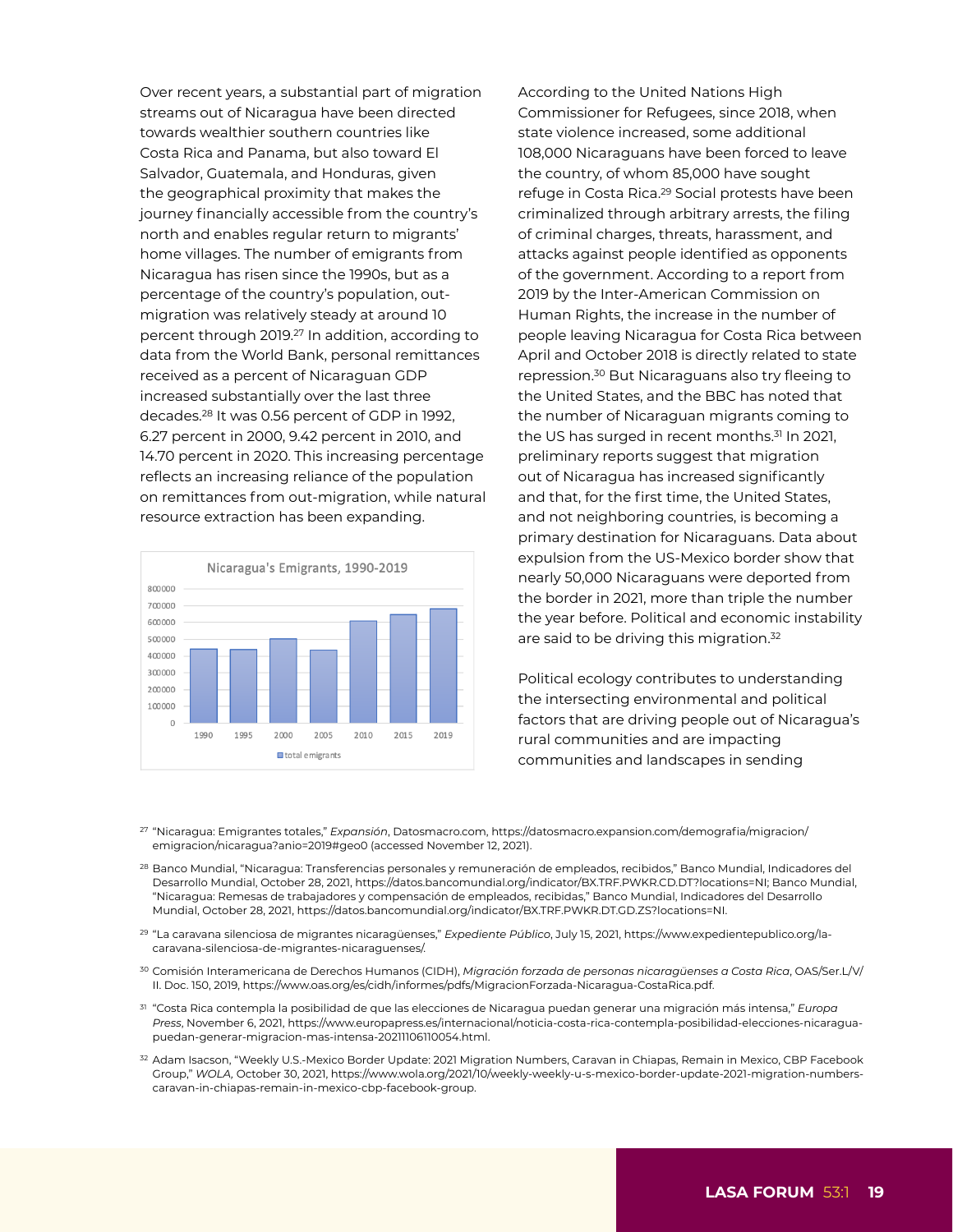Over recent years, a substantial part of migration streams out of Nicaragua have been directed towards wealthier southern countries like Costa Rica and Panama, but also toward El Salvador, Guatemala, and Honduras, given the geographical proximity that makes the journey financially accessible from the country's north and enables regular return to migrants' home villages. The number of emigrants from Nicaragua has risen since the 1990s, but as a percentage of the country's population, outmigration was relatively steady at around 10 percent through 2019.27 In addition, according to data from the World Bank, personal remittances received as a percent of Nicaraguan GDP increased substantially over the last three decades.28 It was 0.56 percent of GDP in 1992, 6.27 percent in 2000, 9.42 percent in 2010, and 14.70 percent in 2020. This increasing percentage reflects an increasing reliance of the population on remittances from out-migration, while natural resource extraction has been expanding.



According to the United Nations High Commissioner for Refugees, since 2018, when state violence increased, some additional 108,000 Nicaraguans have been forced to leave the country, of whom 85,000 have sought refuge in Costa Rica.29 Social protests have been criminalized through arbitrary arrests, the filing of criminal charges, threats, harassment, and attacks against people identified as opponents of the government. According to a report from 2019 by the Inter-American Commission on Human Rights, the increase in the number of people leaving Nicaragua for Costa Rica between April and October 2018 is directly related to state repression.30 But Nicaraguans also try fleeing to the United States, and the BBC has noted that the number of Nicaraguan migrants coming to the US has surged in recent months.<sup>31</sup> In 2021, preliminary reports suggest that migration out of Nicaragua has increased significantly and that, for the first time, the United States, and not neighboring countries, is becoming a primary destination for Nicaraguans. Data about expulsion from the US-Mexico border show that nearly 50,000 Nicaraguans were deported from the border in 2021, more than triple the number the year before. Political and economic instability are said to be driving this migration.32

Political ecology contributes to understanding the intersecting environmental and political factors that are driving people out of Nicaragua's rural communities and are impacting communities and landscapes in sending

- <sup>27</sup> "Nicaragua: Emigrantes totales," *Expansión*, [Datosmacro.com](http://Datosmacro.com), [https://datosmacro.expansion.com/demografia/migracion/](https://datosmacro.expansion.com/demografia/migracion/emigracion/nicaragua?anio=2019%23geo0) [emigracion/nicaragua?anio=2019#geo0](https://datosmacro.expansion.com/demografia/migracion/emigracion/nicaragua?anio=2019%23geo0) (accessed November 12, 2021).
- <sup>28</sup> Banco Mundial, "Nicaragua: Transferencias personales y remuneración de empleados, recibidos," Banco Mundial, Indicadores del Desarrollo Mundial, October 28, 2021, [https://datos.bancomundial.org/indicator/BX.TRF.PWKR.CD.DT?locations=NI;](https://datos.bancomundial.org/indicator/BX.TRF.PWKR.CD.DT?locations=NI) Banco Mundial, "Nicaragua: Remesas de trabajadores y compensación de empleados, recibidas," Banco Mundial, Indicadores del Desarrollo Mundial, October 28, 2021, <https://datos.bancomundial.org/indicator/BX.TRF.PWKR.DT.GD.ZS?locations=NI>.
- <sup>29</sup> "La caravana silenciosa de migrantes nicaragüenses," *Expediente Público*, July 15, 2021, [https://www.expedientepublico.org/la](https://www.expedientepublico.org/la-caravana-silenciosa-de-migrantes-nicaraguenses/)[caravana-silenciosa-de-migrantes-nicaraguenses/](https://www.expedientepublico.org/la-caravana-silenciosa-de-migrantes-nicaraguenses/).
- <sup>30</sup> Comisión Interamericana de Derechos Humanos (CIDH), *Migración forzada de personas nicaragüenses a Costa Rica*, OAS/Ser.L/V/ II. Doc. 150, 2019,<https://www.oas.org/es/cidh/informes/pdfs/MigracionForzada-Nicaragua-CostaRica.pdf>.
- <sup>31</sup> "Costa Rica contempla la posibilidad de que las elecciones de Nicaragua puedan generar una migración más intensa," *Europa Press*, November 6, 2021, [https://www.europapress.es/internacional/noticia-costa-rica-contempla-posibilidad-elecciones-nicaragua](https://www.europapress.es/internacional/noticia-costa-rica-contempla-posibilidad-elecciones-nicaragua-puedan-generar-migracion-mas-intensa-20211106110054.html)[puedan-generar-migracion-mas-intensa-20211106110054.html](https://www.europapress.es/internacional/noticia-costa-rica-contempla-posibilidad-elecciones-nicaragua-puedan-generar-migracion-mas-intensa-20211106110054.html).
- <sup>32</sup> Adam Isacson, "Weekly U.S.-Mexico Border Update: 2021 Migration Numbers, Caravan in Chiapas, Remain in Mexico, CBP Facebook Group," *WOLA,* October 30, 2021, [https://www.wola.org/2021/10/weekly-weekly-u-s-mexico-border-update-2021-migration-numbers](https://www.wola.org/2021/10/weekly-weekly-u-s-mexico-border-update-2021-migration-numbers-caravan-in-chiapas-remain-in-mexico-cbp-facebook-group)[caravan-in-chiapas-remain-in-mexico-cbp-facebook-group](https://www.wola.org/2021/10/weekly-weekly-u-s-mexico-border-update-2021-migration-numbers-caravan-in-chiapas-remain-in-mexico-cbp-facebook-group).